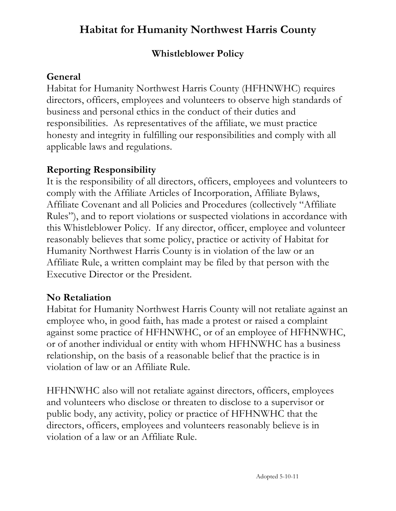## **Whistleblower Policy**

# **General**

Habitat for Humanity Northwest Harris County (HFHNWHC) requires directors, officers, employees and volunteers to observe high standards of business and personal ethics in the conduct of their duties and responsibilities. As representatives of the affiliate, we must practice honesty and integrity in fulfilling our responsibilities and comply with all applicable laws and regulations.

## **Reporting Responsibility**

It is the responsibility of all directors, officers, employees and volunteers to comply with the Affiliate Articles of Incorporation, Affiliate Bylaws, Affiliate Covenant and all Policies and Procedures (collectively "Affiliate Rules"), and to report violations or suspected violations in accordance with this Whistleblower Policy. If any director, officer, employee and volunteer reasonably believes that some policy, practice or activity of Habitat for Humanity Northwest Harris County is in violation of the law or an Affiliate Rule, a written complaint may be filed by that person with the Executive Director or the President.

# **No Retaliation**

Habitat for Humanity Northwest Harris County will not retaliate against an employee who, in good faith, has made a protest or raised a complaint against some practice of HFHNWHC, or of an employee of HFHNWHC, or of another individual or entity with whom HFHNWHC has a business relationship, on the basis of a reasonable belief that the practice is in violation of law or an Affiliate Rule.

HFHNWHC also will not retaliate against directors, officers, employees and volunteers who disclose or threaten to disclose to a supervisor or public body, any activity, policy or practice of HFHNWHC that the directors, officers, employees and volunteers reasonably believe is in violation of a law or an Affiliate Rule.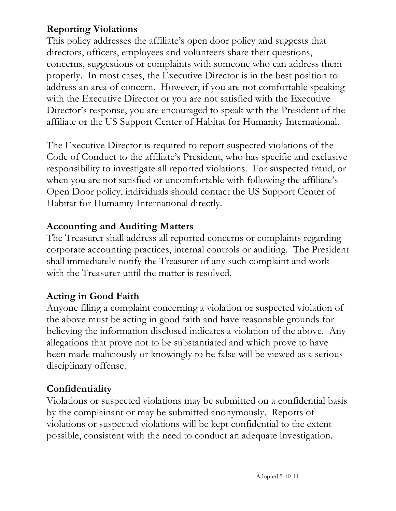### **Reporting Violations**

This policy addresses the affiliate's open door policy and suggests that directors, officers, employees and volunteers share their questions, concerns, suggestions or complaints with someone who can address them properly. In most cases, the Executive Director is in the best position to address an area of concern. However, if you are not comfortable speaking with the Executive Director or you are not satisfied with the Executive Director's response, you are encouraged to speak with the President of the affiliate or the US Support Center of Habitat for Humanity International.

The Executive Director is required to report suspected violations of the Code of Conduct to the affiliate's President, who has specific and exclusive responsibility to investigate all reported violations. For suspected fraud, or when you are not satisfied or uncomfortable with following the affiliate's Open Door policy, individuals should contact the US Support Center of Habitat for Humanity International directly.

#### **Accounting and Auditing Matters**

The Treasurer shall address all reported concerns or complaints regarding corporate accounting practices, internal controls or auditing. The President shall immediately notify the Treasurer of any such complaint and work with the Treasurer until the matter is resolved.

#### **Acting in Good Faith**

Anyone filing a complaint concerning a violation or suspected violation of the above must be acting in good faith and have reasonable grounds for believing the information disclosed indicates a violation of the above. Any allegations that prove not to be substantiated and which prove to have been made maliciously or knowingly to be false will be viewed as a serious disciplinary offense.

#### **Confidentiality**

Violations or suspected violations may be submitted on a confidential basis by the complainant or may be submitted anonymously. Reports of violations or suspected violations will be kept confidential to the extent possible, consistent with the need to conduct an adequate investigation.